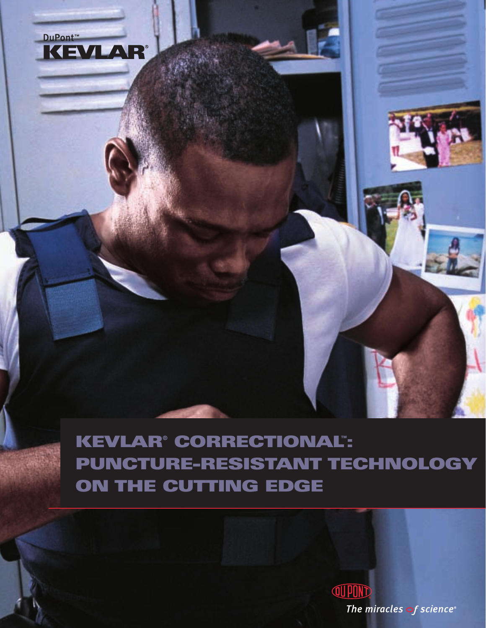

**KEVLAR® CORRECTIONAL™ : PUNCTURE-RESISTANT TECHNOLOGY ON THE CUTTING EDGE**

> **QUPON** The miracles of science®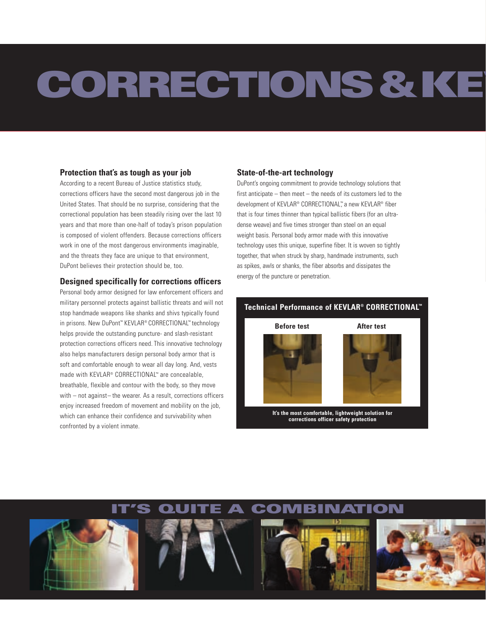# **CORRECTIONS&KEV**

#### **Protection that's as tough as your job**

According to a recent Bureau of Justice statistics study, corrections officers have the second most dangerous job in the United States. That should be no surprise, considering that the correctional population has been steadily rising over the last 10 years and that more than one-half of today's prison population is composed of violent offenders. Because corrections officers work in one of the most dangerous environments imaginable, and the threats they face are unique to that environment. DuPont believes their protection should be, too.

#### **Designed specifically for corrections officers**

Personal body armor designed for law enforcement officers and military personnel protects against ballistic threats and will not stop handmade weapons like shanks and shivs typically found in prisons. New DuPont™ KEVLAR® CORRECTIONAL™ technology helps provide the outstanding puncture- and slash-resistant protection corrections officers need. This innovative technology also helps manufacturers design personal body armor that is soft and comfortable enough to wear all day long. And, vests made with KEVLAR® CORRECTIONAL™ are concealable, breathable, flexible and contour with the body, so they move with – not against– the wearer. As a result, corrections officers enjoy increased freedom of movement and mobility on the job, which can enhance their confidence and survivability when confronted by a violent inmate.

#### **State-of-the-art technology**

DuPont's ongoing commitment to provide technology solutions that first anticipate – then meet – the needs of its customers led to the development of KEVLAR® CORRECTIONAL™ a new KEVLAR® fiber that is four times thinner than typical ballistic fibers (for an ultradense weave) and five times stronger than steel on an equal weight basis. Personal body armor made with this innovative technology uses this unique, superfine fiber. It is woven so tightly together, that when struck by sharp, handmade instruments, such as spikes, awls or shanks, the fiber absorbs and dissipates the energy of the puncture or penetration.

#### **Technical Performance of KEVLAR® CORRECTIONAL™**





**It's the most comfortable, lightweight solution for corrections officer safety protection**

## **QUITE A COMBINAT**

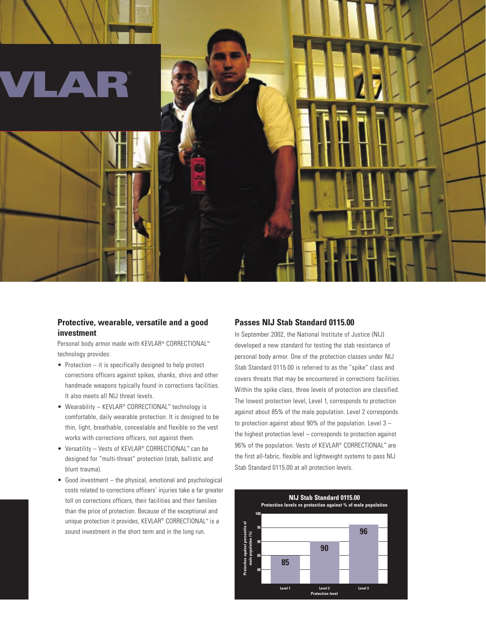

#### **Protective, wearable, versatile and a good investment**

Personal body armor made with KEVLAR® CORRECTIONAL™ technology provides:

- Protection it is specifically designed to help protect corrections officers against spikes, shanks, shivs and other handmade weapons typically found in corrections facilities. It also meets all NIJ threat levels.
- Wearability KEVLAR® CORRECTIONAL™ technology is comfortable, daily wearable protection. It is designed to be thin, light, breathable, concealable and flexible so the vest works with corrections officers, not against them.
- Versatility Vests of KEVLAR® CORRECTIONAL™ can be designed for "multi-threat" protection (stab, ballistic and blunt trauma).
- Good investment the physical, emotional and psychological costs related to corrections officers' injuries take a far greater toll on corrections officers, their facilities and their families than the price of protection. Because of the exceptional and unique protection it provides, KEVLAR® CORRECTIONAL™ is a sound investment in the short term and in the long run.

#### **Passes NIJ Stab Standard 0115.00**

In September 2002, the National Institute of Justice (NIJ) developed a new standard for testing the stab resistance of personal body armor. One of the protection classes under NIJ Stab Standard 0115.00 is referred to as the "spike" class and covers threats that may be encountered in corrections facilities. Within the spike class, three levels of protection are classified. The lowest protection level, Level 1, corresponds to protection against about 85% of the male population. Level 2 corresponds to protection against about  $90\%$  of the population. Level  $3$ the highest protection level – corresponds to protection against 96% of the population. Vests of KEVLAR® CORRECTIONAL™ are the first all-fabric, flexible and lightweight systems to pass NIJ Stab Standard 0115.00 at all protection levels.